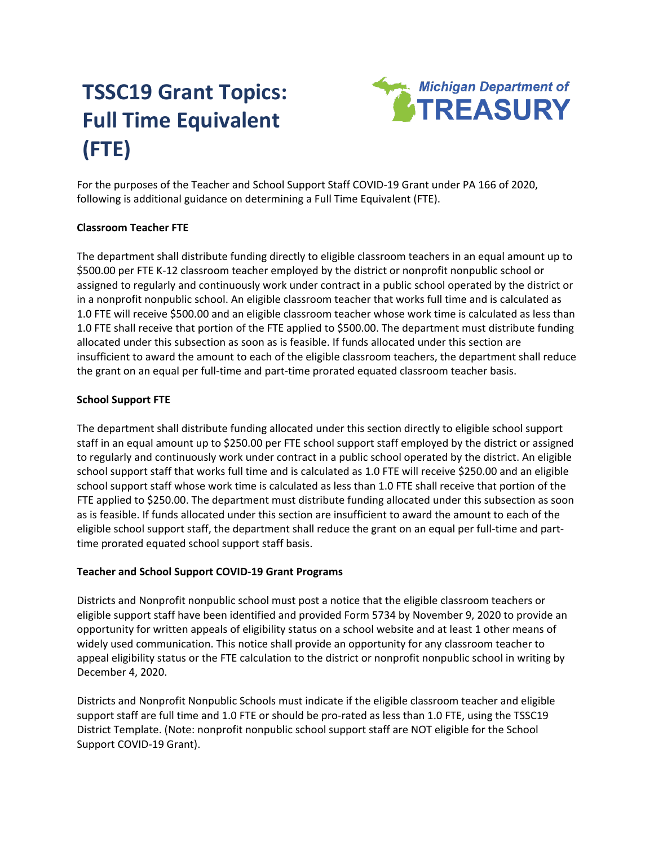# **TSSC19 Grant Topics: Full Time Equivalent (FTE)**



For the purposes of the Teacher and School Support Staff COVID-19 Grant under PA 166 of 2020, following is additional guidance on determining a Full Time Equivalent (FTE).

# **Classroom Teacher FTE**

The department shall distribute funding directly to eligible classroom teachers in an equal amount up to \$500.00 per FTE K-12 classroom teacher employed by the district or nonprofit nonpublic school or assigned to regularly and continuously work under contract in a public school operated by the district or in a nonprofit nonpublic school. An eligible classroom teacher that works full time and is calculated as 1.0 FTE will receive \$500.00 and an eligible classroom teacher whose work time is calculated as less than 1.0 FTE shall receive that portion of the FTE applied to \$500.00. The department must distribute funding allocated under this subsection as soon as is feasible. If funds allocated under this section are insufficient to award the amount to each of the eligible classroom teachers, the department shall reduce the grant on an equal per full-time and part-time prorated equated classroom teacher basis.

# **School Support FTE**

The department shall distribute funding allocated under this section directly to eligible school support staff in an equal amount up to \$250.00 per FTE school support staff employed by the district or assigned to regularly and continuously work under contract in a public school operated by the district. An eligible school support staff that works full time and is calculated as 1.0 FTE will receive \$250.00 and an eligible school support staff whose work time is calculated as less than 1.0 FTE shall receive that portion of the FTE applied to \$250.00. The department must distribute funding allocated under this subsection as soon as is feasible. If funds allocated under this section are insufficient to award the amount to each of the eligible school support staff, the department shall reduce the grant on an equal per full-time and parttime prorated equated school support staff basis.

# **Teacher and School Support COVID-19 Grant Programs**

Districts and Nonprofit nonpublic school must post a notice that the eligible classroom teachers or eligible support staff have been identified and provided Form 5734 by November 9, 2020 to provide an opportunity for written appeals of eligibility status on a school website and at least 1 other means of widely used communication. This notice shall provide an opportunity for any classroom teacher to appeal eligibility status or the FTE calculation to the district or nonprofit nonpublic school in writing by December 4, 2020.

Districts and Nonprofit Nonpublic Schools must indicate if the eligible classroom teacher and eligible support staff are full time and 1.0 FTE or should be pro-rated as less than 1.0 FTE, using the TSSC19 District Template. (Note: nonprofit nonpublic school support staff are NOT eligible for the School Support COVID-19 Grant).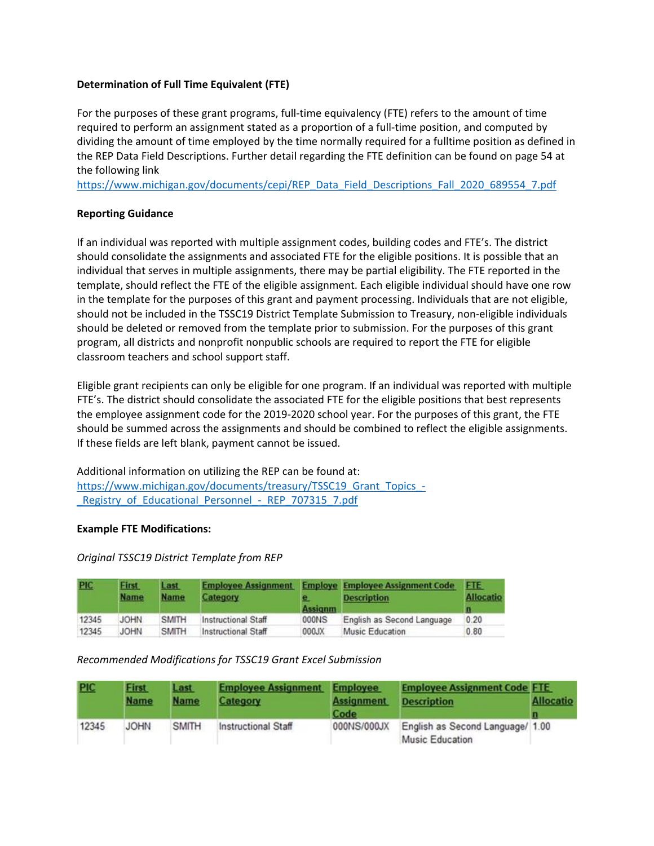# **Determination of Full Time Equivalent (FTE)**

For the purposes of these grant programs, full-time equivalency (FTE) refers to the amount of time required to perform an assignment stated as a proportion of a full-time position, and computed by dividing the amount of time employed by the time normally required for a fulltime position as defined in the REP Data Field Descriptions. Further detail regarding the FTE definition can be found on page 54 at the following link

[https://www.michigan.gov/documents/cepi/REP\\_Data\\_Field\\_Descriptions\\_Fall\\_2020\\_689554\\_7.pdf](https://www.michigan.gov/documents/cepi/REP_Data_Field_Descriptions_Fall_2020_689554_7.pdf)

# **Reporting Guidance**

If an individual was reported with multiple assignment codes, building codes and FTE's. The district should consolidate the assignments and associated FTE for the eligible positions. It is possible that an individual that serves in multiple assignments, there may be partial eligibility. The FTE reported in the template, should reflect the FTE of the eligible assignment. Each eligible individual should have one row in the template for the purposes of this grant and payment processing. Individuals that are not eligible, should not be included in the TSSC19 District Template Submission to Treasury, non-eligible individuals should be deleted or removed from the template prior to submission. For the purposes of this grant program, all districts and nonprofit nonpublic schools are required to report the FTE for eligible classroom teachers and school support staff.

Eligible grant recipients can only be eligible for one program. If an individual was reported with multiple FTE's. The district should consolidate the associated FTE for the eligible positions that best represents the employee assignment code for the 2019-2020 school year. For the purposes of this grant, the FTE should be summed across the assignments and should be combined to reflect the eligible assignments. If these fields are left blank, payment cannot be issued.

Additional information on utilizing the REP can be found at: https://www.michigan.gov/documents/treasury/TSSC19 Grant Topics -Registry of Educational Personnel - REP 707315 7.pdf

# **Example FTE Modifications:**

# *Original TSSC19 District Template from REP*

| <b>PIC</b> | First<br><b>Name</b> | Last<br><b>Name</b> | <b>Employee Assignment</b><br>Category | e<br><b>Assignm</b> | <b>Employe Employee Assignment Code</b><br><b>Description</b> | <b>FTE</b><br><b>Allocatio</b><br>ш |
|------------|----------------------|---------------------|----------------------------------------|---------------------|---------------------------------------------------------------|-------------------------------------|
| 12345      | <b>JOHN</b>          | <b>SMITH</b>        | Instructional Staff                    | 000NS               | English as Second Language                                    | 0.20                                |
| 12345      | <b>JOHN</b>          | <b>SMITH</b>        | Instructional Staff                    | 000JX               | Music Education                                               | 0.80                                |

# *Recommended Modifications for TSSC19 Grant Excel Submission*

| <b>PIC</b> | <b>First</b><br><b>Name</b> | Last<br><b>Name</b> | <b>Employee Assignment</b><br>Category | <b>Employee</b><br><b>Assignment</b><br>Code | <b>Employee Assignment Code FTE</b><br><b>Description</b> | <b>Allocatio</b> |
|------------|-----------------------------|---------------------|----------------------------------------|----------------------------------------------|-----------------------------------------------------------|------------------|
| 12345      | <b>JOHN</b>                 | <b>SMITH</b>        | Instructional Staff                    | 000NS/000JX                                  | English as Second Language/ 1.00<br>Music Education       |                  |